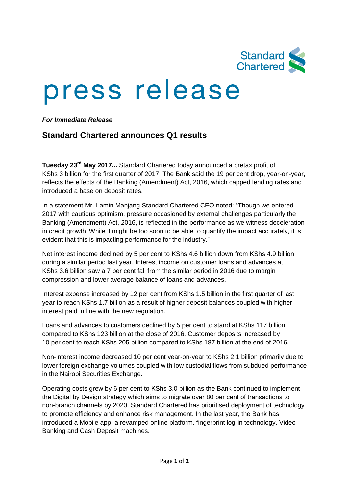

## press release

*For Immediate Release*

## **Standard Chartered announces Q1 results**

**Tuesday 23rd May 2017...** Standard Chartered today announced a pretax profit of KShs 3 billion for the first quarter of 2017. The Bank said the 19 per cent drop, year-on-year, reflects the effects of the Banking (Amendment) Act, 2016, which capped lending rates and introduced a base on deposit rates.

In a statement Mr. Lamin Manjang Standard Chartered CEO noted: "Though we entered 2017 with cautious optimism, pressure occasioned by external challenges particularly the Banking (Amendment) Act, 2016, is reflected in the performance as we witness deceleration in credit growth. While it might be too soon to be able to quantify the impact accurately, it is evident that this is impacting performance for the industry."

Net interest income declined by 5 per cent to KShs 4.6 billion down from KShs 4.9 billion during a similar period last year. Interest income on customer loans and advances at KShs 3.6 billion saw a 7 per cent fall from the similar period in 2016 due to margin compression and lower average balance of loans and advances.

Interest expense increased by 12 per cent from KShs 1.5 billion in the first quarter of last year to reach KShs 1.7 billion as a result of higher deposit balances coupled with higher interest paid in line with the new regulation.

Loans and advances to customers declined by 5 per cent to stand at KShs 117 billion compared to KShs 123 billion at the close of 2016. Customer deposits increased by 10 per cent to reach KShs 205 billion compared to KShs 187 billion at the end of 2016.

Non-interest income decreased 10 per cent year-on-year to KShs 2.1 billion primarily due to lower foreign exchange volumes coupled with low custodial flows from subdued performance in the Nairobi Securities Exchange.

Operating costs grew by 6 per cent to KShs 3.0 billion as the Bank continued to implement the Digital by Design strategy which aims to migrate over 80 per cent of transactions to non-branch channels by 2020. Standard Chartered has prioritised deployment of technology to promote efficiency and enhance risk management. In the last year, the Bank has introduced a Mobile app, a revamped online platform, fingerprint log-in technology, Video Banking and Cash Deposit machines.